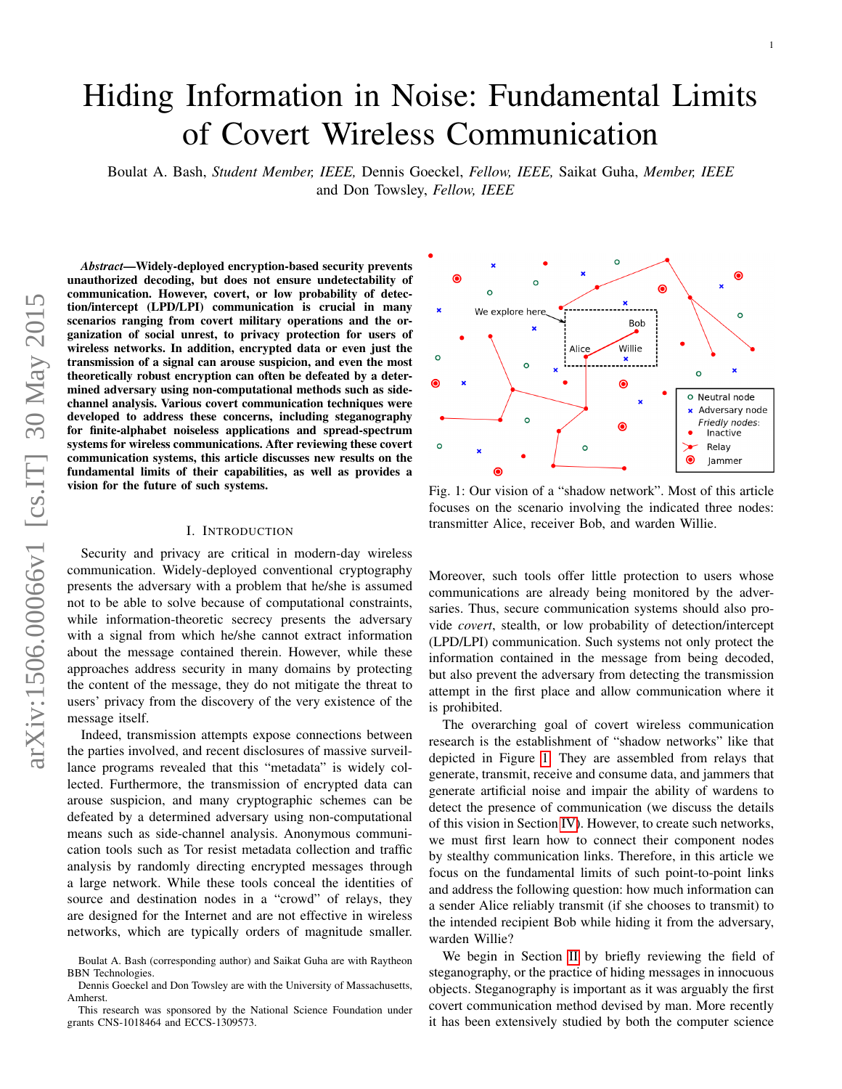# Hiding Information in Noise: Fundamental Limits of Covert Wireless Communication

Boulat A. Bash, *Student Member, IEEE,* Dennis Goeckel, *Fellow, IEEE,* Saikat Guha, *Member, IEEE* and Don Towsley, *Fellow, IEEE*

*Abstract*—Widely-deployed encryption-based security prevents unauthorized decoding, but does not ensure undetectability of communication. However, covert, or low probability of detection/intercept (LPD/LPI) communication is crucial in many scenarios ranging from covert military operations and the organization of social unrest, to privacy protection for users of wireless networks. In addition, encrypted data or even just the transmission of a signal can arouse suspicion, and even the most theoretically robust encryption can often be defeated by a determined adversary using non-computational methods such as sidechannel analysis. Various covert communication techniques were developed to address these concerns, including steganography for finite-alphabet noiseless applications and spread-spectrum systems for wireless communications. After reviewing these covert communication systems, this article discusses new results on the fundamental limits of their capabilities, as well as provides a vision for the future of such systems.

## I. INTRODUCTION

Security and privacy are critical in modern-day wireless communication. Widely-deployed conventional cryptography presents the adversary with a problem that he/she is assumed not to be able to solve because of computational constraints, while information-theoretic secrecy presents the adversary with a signal from which he/she cannot extract information about the message contained therein. However, while these approaches address security in many domains by protecting the content of the message, they do not mitigate the threat to users' privacy from the discovery of the very existence of the message itself.

Indeed, transmission attempts expose connections between the parties involved, and recent disclosures of massive surveillance programs revealed that this "metadata" is widely collected. Furthermore, the transmission of encrypted data can arouse suspicion, and many cryptographic schemes can be defeated by a determined adversary using non-computational means such as side-channel analysis. Anonymous communication tools such as Tor resist metadata collection and traffic analysis by randomly directing encrypted messages through a large network. While these tools conceal the identities of source and destination nodes in a "crowd" of relays, they are designed for the Internet and are not effective in wireless networks, which are typically orders of magnitude smaller.

<span id="page-0-0"></span>

Fig. 1: Our vision of a "shadow network". Most of this article focuses on the scenario involving the indicated three nodes: transmitter Alice, receiver Bob, and warden Willie.

Moreover, such tools offer little protection to users whose communications are already being monitored by the adversaries. Thus, secure communication systems should also provide *covert*, stealth, or low probability of detection/intercept (LPD/LPI) communication. Such systems not only protect the information contained in the message from being decoded, but also prevent the adversary from detecting the transmission attempt in the first place and allow communication where it is prohibited.

The overarching goal of covert wireless communication research is the establishment of "shadow networks" like that depicted in Figure [1.](#page-0-0) They are assembled from relays that generate, transmit, receive and consume data, and jammers that generate artificial noise and impair the ability of wardens to detect the presence of communication (we discuss the details of this vision in Section [IV\)](#page-5-0). However, to create such networks, we must first learn how to connect their component nodes by stealthy communication links. Therefore, in this article we focus on the fundamental limits of such point-to-point links and address the following question: how much information can a sender Alice reliably transmit (if she chooses to transmit) to the intended recipient Bob while hiding it from the adversary, warden Willie?

We begin in Section [II](#page-1-0) by briefly reviewing the field of steganography, or the practice of hiding messages in innocuous objects. Steganography is important as it was arguably the first covert communication method devised by man. More recently it has been extensively studied by both the computer science

Boulat A. Bash (corresponding author) and Saikat Guha are with Raytheon BBN Technologies.

Dennis Goeckel and Don Towsley are with the University of Massachusetts, Amherst.

This research was sponsored by the National Science Foundation under grants CNS-1018464 and ECCS-1309573.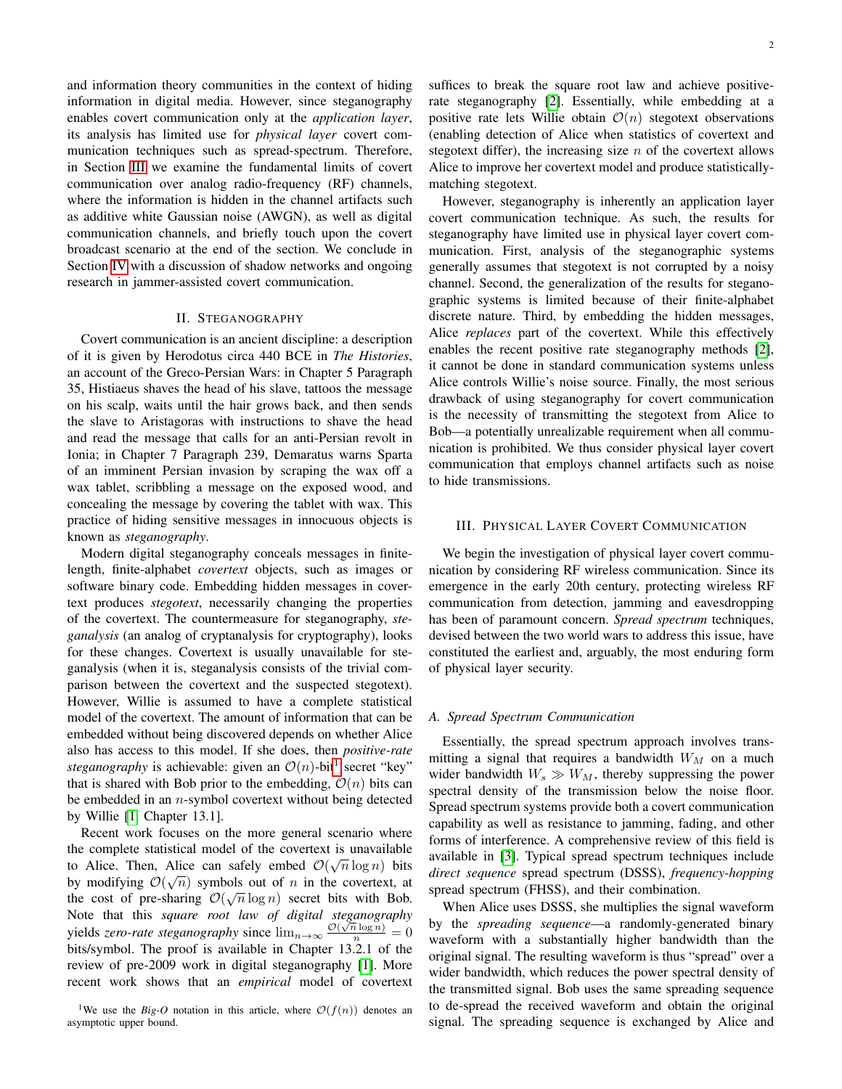and information theory communities in the context of hiding information in digital media. However, since steganography enables covert communication only at the *application layer*, its analysis has limited use for *physical layer* covert communication techniques such as spread-spectrum. Therefore, in Section [III](#page-1-1) we examine the fundamental limits of covert communication over analog radio-frequency (RF) channels, where the information is hidden in the channel artifacts such as additive white Gaussian noise (AWGN), as well as digital communication channels, and briefly touch upon the covert broadcast scenario at the end of the section. We conclude in Section [IV](#page-5-0) with a discussion of shadow networks and ongoing research in jammer-assisted covert communication.

## II. STEGANOGRAPHY

<span id="page-1-0"></span>Covert communication is an ancient discipline: a description of it is given by Herodotus circa 440 BCE in *The Histories*, an account of the Greco-Persian Wars: in Chapter 5 Paragraph 35, Histiaeus shaves the head of his slave, tattoos the message on his scalp, waits until the hair grows back, and then sends the slave to Aristagoras with instructions to shave the head and read the message that calls for an anti-Persian revolt in Ionia; in Chapter 7 Paragraph 239, Demaratus warns Sparta of an imminent Persian invasion by scraping the wax off a wax tablet, scribbling a message on the exposed wood, and concealing the message by covering the tablet with wax. This practice of hiding sensitive messages in innocuous objects is known as *steganography*.

Modern digital steganography conceals messages in finitelength, finite-alphabet *covertext* objects, such as images or software binary code. Embedding hidden messages in covertext produces *stegotext*, necessarily changing the properties of the covertext. The countermeasure for steganography, *steganalysis* (an analog of cryptanalysis for cryptography), looks for these changes. Covertext is usually unavailable for steganalysis (when it is, steganalysis consists of the trivial comparison between the covertext and the suspected stegotext). However, Willie is assumed to have a complete statistical model of the covertext. The amount of information that can be embedded without being discovered depends on whether Alice also has access to this model. If she does, then *positive-rate steganography* is achievable: given an  $O(n)$ -bit<sup>[1](#page-1-2)</sup> secret "key" that is shared with Bob prior to the embedding,  $\mathcal{O}(n)$  bits can be embedded in an  $n$ -symbol covertext without being detected by Willie [\[1,](#page-5-1) Chapter 13.1].

Recent work focuses on the more general scenario where the complete statistical model of the covertext is unavailable to Alice. Then, Alice can safely embed  $\mathcal{O}(\sqrt{n}\log n)$  bits by modifying  $\mathcal{O}(\sqrt{n})$  symbols out of *n* in the covertext, at the cost of pre-sharing  $\mathcal{O}(\sqrt{n}\log n)$  secret bits with Bob. Note that this *square root law of digital steganography* yields *zero-rate steganography* since  $\lim_{n\to\infty} \frac{\mathcal{O}(\sqrt{n}\log n)}{n} = 0$ bits/symbol. The proof is available in Chapter 13.2.1 of the review of pre-2009 work in digital steganography [\[1\]](#page-5-1). More recent work shows that an *empirical* model of covertext suffices to break the square root law and achieve positiverate steganography [\[2\]](#page-5-2). Essentially, while embedding at a positive rate lets Willie obtain  $\mathcal{O}(n)$  stegotext observations (enabling detection of Alice when statistics of covertext and stegotext differ), the increasing size  $n$  of the covertext allows Alice to improve her covertext model and produce statisticallymatching stegotext.

However, steganography is inherently an application layer covert communication technique. As such, the results for steganography have limited use in physical layer covert communication. First, analysis of the steganographic systems generally assumes that stegotext is not corrupted by a noisy channel. Second, the generalization of the results for steganographic systems is limited because of their finite-alphabet discrete nature. Third, by embedding the hidden messages, Alice *replaces* part of the covertext. While this effectively enables the recent positive rate steganography methods [\[2\]](#page-5-2), it cannot be done in standard communication systems unless Alice controls Willie's noise source. Finally, the most serious drawback of using steganography for covert communication is the necessity of transmitting the stegotext from Alice to Bob—a potentially unrealizable requirement when all communication is prohibited. We thus consider physical layer covert communication that employs channel artifacts such as noise to hide transmissions.

## <span id="page-1-1"></span>III. PHYSICAL LAYER COVERT COMMUNICATION

We begin the investigation of physical layer covert communication by considering RF wireless communication. Since its emergence in the early 20th century, protecting wireless RF communication from detection, jamming and eavesdropping has been of paramount concern. *Spread spectrum* techniques, devised between the two world wars to address this issue, have constituted the earliest and, arguably, the most enduring form of physical layer security.

## *A. Spread Spectrum Communication*

Essentially, the spread spectrum approach involves transmitting a signal that requires a bandwidth  $W_M$  on a much wider bandwidth  $W_s \gg W_M$ , thereby suppressing the power spectral density of the transmission below the noise floor. Spread spectrum systems provide both a covert communication capability as well as resistance to jamming, fading, and other forms of interference. A comprehensive review of this field is available in [\[3\]](#page-5-3). Typical spread spectrum techniques include *direct sequence* spread spectrum (DSSS), *frequency-hopping* spread spectrum (FHSS), and their combination.

When Alice uses DSSS, she multiplies the signal waveform by the *spreading sequence*—a randomly-generated binary waveform with a substantially higher bandwidth than the original signal. The resulting waveform is thus "spread" over a wider bandwidth, which reduces the power spectral density of the transmitted signal. Bob uses the same spreading sequence to de-spread the received waveform and obtain the original signal. The spreading sequence is exchanged by Alice and

<span id="page-1-2"></span><sup>&</sup>lt;sup>1</sup>We use the *Big-O* notation in this article, where  $\mathcal{O}(f(n))$  denotes an asymptotic upper bound.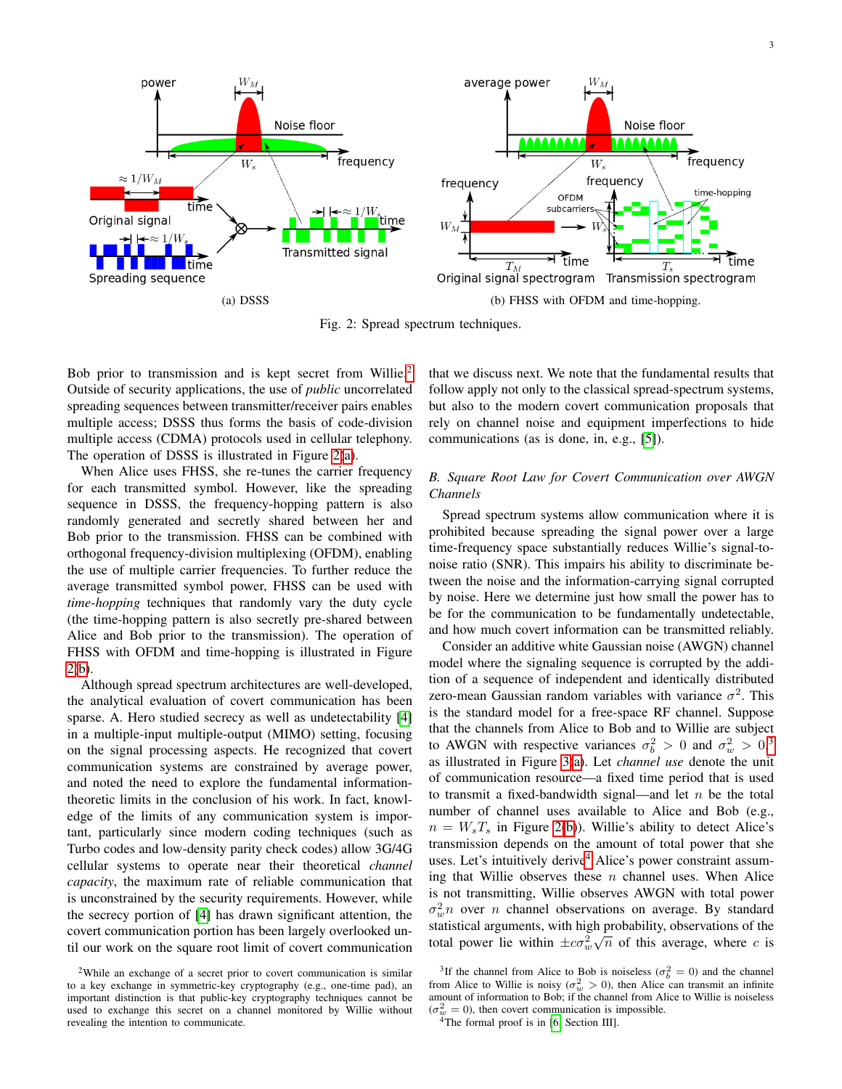<span id="page-2-1"></span>

Fig. 2: Spread spectrum techniques.

Bob prior to transmission and is kept secret from Willie.<sup>[2](#page-2-0)</sup> Outside of security applications, the use of *public* uncorrelated spreading sequences between transmitter/receiver pairs enables multiple access; DSSS thus forms the basis of code-division multiple access (CDMA) protocols used in cellular telephony. The operation of DSSS is illustrated in Figure [2\(a\)](#page-2-1).

When Alice uses FHSS, she re-tunes the carrier frequency for each transmitted symbol. However, like the spreading sequence in DSSS, the frequency-hopping pattern is also randomly generated and secretly shared between her and Bob prior to the transmission. FHSS can be combined with orthogonal frequency-division multiplexing (OFDM), enabling the use of multiple carrier frequencies. To further reduce the average transmitted symbol power, FHSS can be used with *time-hopping* techniques that randomly vary the duty cycle (the time-hopping pattern is also secretly pre-shared between Alice and Bob prior to the transmission). The operation of FHSS with OFDM and time-hopping is illustrated in Figure [2\(b\)](#page-2-1).

Although spread spectrum architectures are well-developed, the analytical evaluation of covert communication has been sparse. A. Hero studied secrecy as well as undetectability [\[4\]](#page-5-4) in a multiple-input multiple-output (MIMO) setting, focusing on the signal processing aspects. He recognized that covert communication systems are constrained by average power, and noted the need to explore the fundamental informationtheoretic limits in the conclusion of his work. In fact, knowledge of the limits of any communication system is important, particularly since modern coding techniques (such as Turbo codes and low-density parity check codes) allow 3G/4G cellular systems to operate near their theoretical *channel capacity*, the maximum rate of reliable communication that is unconstrained by the security requirements. However, while the secrecy portion of [\[4\]](#page-5-4) has drawn significant attention, the covert communication portion has been largely overlooked until our work on the square root limit of covert communication that we discuss next. We note that the fundamental results that follow apply not only to the classical spread-spectrum systems, but also to the modern covert communication proposals that rely on channel noise and equipment imperfections to hide communications (as is done, in, e.g., [\[5\]](#page-5-5)).

# <span id="page-2-4"></span>*B. Square Root Law for Covert Communication over AWGN Channels*

Spread spectrum systems allow communication where it is prohibited because spreading the signal power over a large time-frequency space substantially reduces Willie's signal-tonoise ratio (SNR). This impairs his ability to discriminate between the noise and the information-carrying signal corrupted by noise. Here we determine just how small the power has to be for the communication to be fundamentally undetectable, and how much covert information can be transmitted reliably.

Consider an additive white Gaussian noise (AWGN) channel model where the signaling sequence is corrupted by the addition of a sequence of independent and identically distributed zero-mean Gaussian random variables with variance  $\sigma^2$ . This is the standard model for a free-space RF channel. Suppose that the channels from Alice to Bob and to Willie are subject to AWGN with respective variances  $\sigma_b^2 > 0$  and  $\sigma_w^2 > 0$ ,<sup>[3](#page-2-2)</sup> as illustrated in Figure [3\(a\)](#page-3-0). Let *channel use* denote the unit of communication resource—a fixed time period that is used to transmit a fixed-bandwidth signal—and let  $n$  be the total number of channel uses available to Alice and Bob (e.g.,  $n = W_s T_s$  in Figure [2\(b\)](#page-2-1)). Willie's ability to detect Alice's transmission depends on the amount of total power that she uses. Let's intuitively derive<sup>[4](#page-2-3)</sup> Alice's power constraint assuming that Willie observes these  $n$  channel uses. When Alice is not transmitting, Willie observes AWGN with total power  $\sigma_w^2 n$  over *n* channel observations on average. By standard statistical arguments, with high probability, observations of the total power lie within  $\pm c\sigma_w^2\sqrt{n}$  of this average, where c is

<span id="page-2-0"></span><sup>2</sup>While an exchange of a secret prior to covert communication is similar to a key exchange in symmetric-key cryptography (e.g., one-time pad), an important distinction is that public-key cryptography techniques cannot be used to exchange this secret on a channel monitored by Willie without revealing the intention to communicate.

<span id="page-2-2"></span><sup>&</sup>lt;sup>3</sup>If the channel from Alice to Bob is noiseless ( $\sigma_b^2 = 0$ ) and the channel from Alice to Willie is noisy ( $\sigma_w^2 > 0$ ), then Alice can transmit an infinite amount of information to Bob; if the channel from Alice to Willie is noiseless  $(\sigma_w^2 = 0)$ , then covert communication is impossible.

<span id="page-2-3"></span><sup>&</sup>lt;sup>4</sup>The formal proof is in [\[6,](#page-5-6) Section III].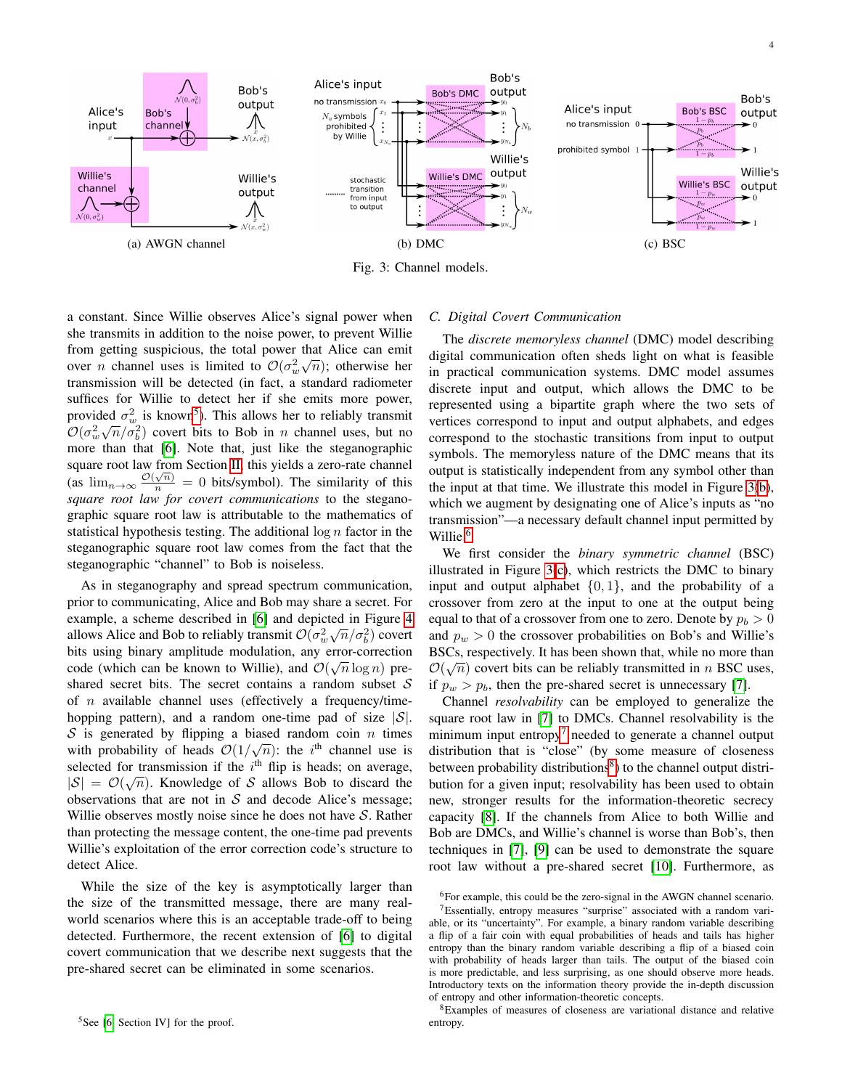<span id="page-3-0"></span>

Fig. 3: Channel models.

a constant. Since Willie observes Alice's signal power when she transmits in addition to the noise power, to prevent Willie from getting suspicious, the total power that Alice can emit over *n* channel uses is limited to  $\mathcal{O}(\sigma_w^2 \sqrt{n})$ ; otherwise her transmission will be detected (in fact, a standard radiometer suffices for Willie to detect her if she emits more power, provided  $\sigma_w^2$  is known<sup>[5](#page-3-1)</sup>). This allows her to reliably transmit  $\mathcal{O}(\sigma_w^2\sqrt{n}/\sigma_b^2)$  covert bits to Bob in *n* channel uses, but no more than that [\[6\]](#page-5-6). Note that, just like the steganographic square root law from Section [II,](#page-1-0) this yields a zero-rate channel (as  $\lim_{n\to\infty} \frac{\mathcal{O}(\sqrt{n})}{n} = 0$  bits/symbol). The similarity of this *square root law for covert communications* to the steganographic square root law is attributable to the mathematics of statistical hypothesis testing. The additional  $\log n$  factor in the steganographic square root law comes from the fact that the steganographic "channel" to Bob is noiseless.

As in steganography and spread spectrum communication, prior to communicating, Alice and Bob may share a secret. For example, a scheme described in [\[6\]](#page-5-6) and depicted in Figure [4](#page-4-0) allows Alice and Bob to reliably transmit  $\mathcal{O}(\sigma_w^2\sqrt{n}/\sigma_b^2)$  covert bits using binary amplitude modulation, any error-correction √ code (which can be known to Willie), and  $\mathcal{O}(\sqrt{n}\log n)$  preshared secret bits. The secret contains a random subset  $S$ of  $n$  available channel uses (effectively a frequency/timehopping pattern), and a random one-time pad of size  $|S|$ .  $S$  is generated by flipping a biased random coin n times  $\infty$  is generated by inpping a biased random com *n* times<br>with probability of heads  $\mathcal{O}(1/\sqrt{n})$ : the *i*<sup>th</sup> channel use is selected for transmission if the  $i^{\text{th}}$  flip is heads; on average,  $|S| = \mathcal{O}(\sqrt{n})$ . Knowledge of S allows Bob to discard the observations that are not in  $S$  and decode Alice's message; Willie observes mostly noise since he does not have  $S$ . Rather than protecting the message content, the one-time pad prevents Willie's exploitation of the error correction code's structure to detect Alice.

<span id="page-3-1"></span>While the size of the key is asymptotically larger than the size of the transmitted message, there are many realworld scenarios where this is an acceptable trade-off to being detected. Furthermore, the recent extension of [\[6\]](#page-5-6) to digital covert communication that we describe next suggests that the pre-shared secret can be eliminated in some scenarios.

## *C. Digital Covert Communication*

The *discrete memoryless channel* (DMC) model describing digital communication often sheds light on what is feasible in practical communication systems. DMC model assumes discrete input and output, which allows the DMC to be represented using a bipartite graph where the two sets of vertices correspond to input and output alphabets, and edges correspond to the stochastic transitions from input to output symbols. The memoryless nature of the DMC means that its output is statistically independent from any symbol other than the input at that time. We illustrate this model in Figure [3\(b\)](#page-3-0), which we augment by designating one of Alice's inputs as "no transmission"—a necessary default channel input permitted by Willie.<sup>[6](#page-3-2)</sup>

We first consider the *binary symmetric channel* (BSC) illustrated in Figure [3\(c\)](#page-3-0), which restricts the DMC to binary input and output alphabet  $\{0, 1\}$ , and the probability of a crossover from zero at the input to one at the output being equal to that of a crossover from one to zero. Denote by  $p_b > 0$ and  $p_w > 0$  the crossover probabilities on Bob's and Willie's BSCs, respectively. It has been shown that, while no more than  $\mathcal{O}(\sqrt{2})$  $\mathcal{O}(\sqrt{n})$  covert bits can be reliably transmitted in n BSC uses, if  $p_w > p_b$ , then the pre-shared secret is unnecessary [\[7\]](#page-5-7).

Channel *resolvability* can be employed to generalize the square root law in [\[7\]](#page-5-7) to DMCs. Channel resolvability is the minimum input entropy<sup>[7](#page-3-3)</sup> needed to generate a channel output distribution that is "close" (by some measure of closeness between probability distributions<sup>[8](#page-3-4)</sup>) to the channel output distribution for a given input; resolvability has been used to obtain new, stronger results for the information-theoretic secrecy capacity [\[8\]](#page-5-8). If the channels from Alice to both Willie and Bob are DMCs, and Willie's channel is worse than Bob's, then techniques in [\[7\]](#page-5-7), [\[9\]](#page-5-9) can be used to demonstrate the square root law without a pre-shared secret [\[10\]](#page-5-10). Furthermore, as

<span id="page-3-4"></span><sup>8</sup>Examples of measures of closeness are variational distance and relative entropy.

<span id="page-3-3"></span><span id="page-3-2"></span><sup>&</sup>lt;sup>6</sup>For example, this could be the zero-signal in the AWGN channel scenario.

<sup>7</sup>Essentially, entropy measures "surprise" associated with a random variable, or its "uncertainty". For example, a binary random variable describing a flip of a fair coin with equal probabilities of heads and tails has higher entropy than the binary random variable describing a flip of a biased coin with probability of heads larger than tails. The output of the biased coin is more predictable, and less surprising, as one should observe more heads. Introductory texts on the information theory provide the in-depth discussion of entropy and other information-theoretic concepts.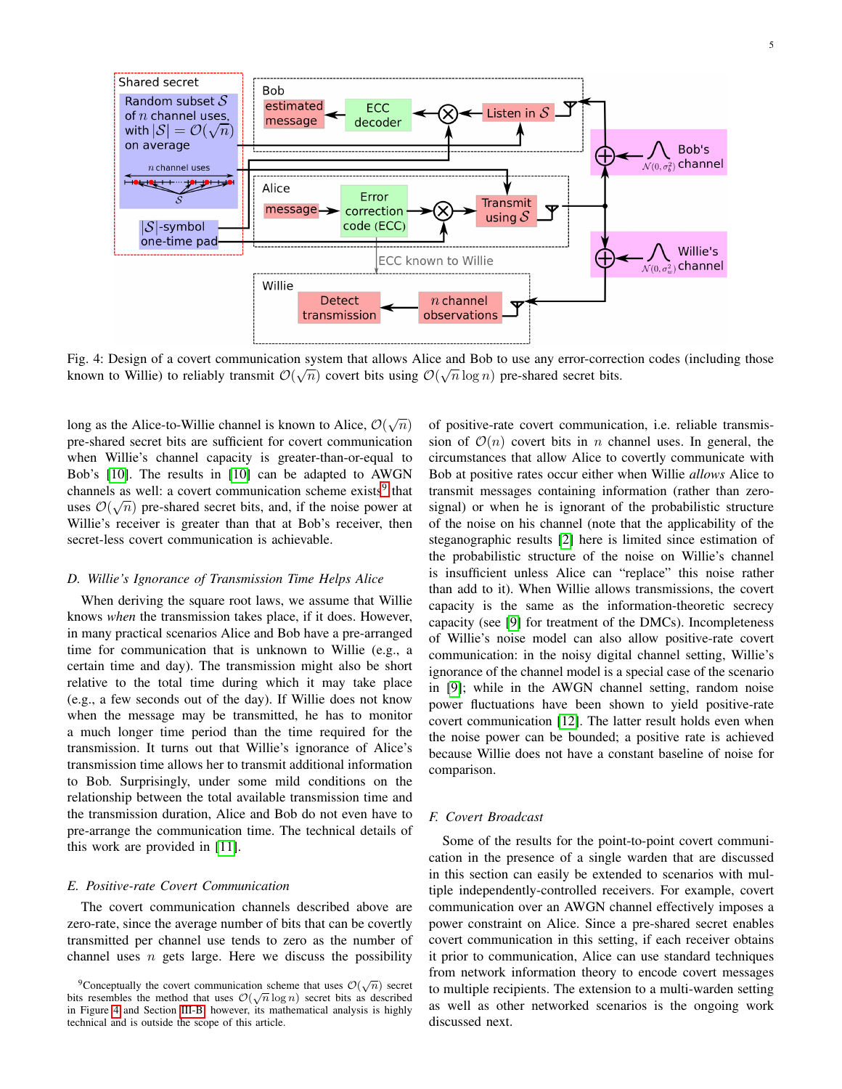<span id="page-4-0"></span>

Fig. 4: Design of a covert communication system that allows Alice and Bob to use any error-correction codes (including those known to Willie) to reliably transmit  $\mathcal{O}(\sqrt{n})$  covert bits using  $\mathcal{O}(\sqrt{n}\log n)$  pre-shared secret bits.

long as the Alice-to-Willie channel is known to Alice,  $\mathcal{O}(\sqrt{n})$ pre-shared secret bits are sufficient for covert communication when Willie's channel capacity is greater-than-or-equal to Bob's [\[10\]](#page-5-10). The results in [\[10\]](#page-5-10) can be adapted to AWGN channels as well: a covert communication scheme exists<sup>[9](#page-4-1)</sup> that uses  $\mathcal{O}(\sqrt{n})$  pre-shared secret bits, and, if the noise power at Willie's receiver is greater than that at Bob's receiver, then secret-less covert communication is achievable.

### *D. Willie's Ignorance of Transmission Time Helps Alice*

When deriving the square root laws, we assume that Willie knows *when* the transmission takes place, if it does. However, in many practical scenarios Alice and Bob have a pre-arranged time for communication that is unknown to Willie (e.g., a certain time and day). The transmission might also be short relative to the total time during which it may take place (e.g., a few seconds out of the day). If Willie does not know when the message may be transmitted, he has to monitor a much longer time period than the time required for the transmission. It turns out that Willie's ignorance of Alice's transmission time allows her to transmit additional information to Bob. Surprisingly, under some mild conditions on the relationship between the total available transmission time and the transmission duration, Alice and Bob do not even have to pre-arrange the communication time. The technical details of this work are provided in [\[11\]](#page-5-11).

## *E. Positive-rate Covert Communication*

The covert communication channels described above are zero-rate, since the average number of bits that can be covertly transmitted per channel use tends to zero as the number of channel uses  $n$  gets large. Here we discuss the possibility

of positive-rate covert communication, i.e. reliable transmission of  $\mathcal{O}(n)$  covert bits in n channel uses. In general, the circumstances that allow Alice to covertly communicate with Bob at positive rates occur either when Willie *allows* Alice to transmit messages containing information (rather than zerosignal) or when he is ignorant of the probabilistic structure of the noise on his channel (note that the applicability of the steganographic results [\[2\]](#page-5-2) here is limited since estimation of the probabilistic structure of the noise on Willie's channel is insufficient unless Alice can "replace" this noise rather than add to it). When Willie allows transmissions, the covert capacity is the same as the information-theoretic secrecy capacity (see [\[9\]](#page-5-9) for treatment of the DMCs). Incompleteness of Willie's noise model can also allow positive-rate covert communication: in the noisy digital channel setting, Willie's ignorance of the channel model is a special case of the scenario in [\[9\]](#page-5-9); while in the AWGN channel setting, random noise power fluctuations have been shown to yield positive-rate covert communication [\[12\]](#page-5-12). The latter result holds even when the noise power can be bounded; a positive rate is achieved because Willie does not have a constant baseline of noise for comparison.

## *F. Covert Broadcast*

Some of the results for the point-to-point covert communication in the presence of a single warden that are discussed in this section can easily be extended to scenarios with multiple independently-controlled receivers. For example, covert communication over an AWGN channel effectively imposes a power constraint on Alice. Since a pre-shared secret enables covert communication in this setting, if each receiver obtains it prior to communication, Alice can use standard techniques from network information theory to encode covert messages to multiple recipients. The extension to a multi-warden setting as well as other networked scenarios is the ongoing work discussed next.

<span id="page-4-1"></span><sup>&</sup>lt;sup>9</sup>Conceptually the covert communication scheme that uses  $\mathcal{O}(\sqrt{n})$  secret bits resembles the method that uses  $\mathcal{O}(\sqrt{n}\log n)$  secret bits as described in Figure [4](#page-4-0) and Section [III-B;](#page-2-4) however, its mathematical analysis is highly technical and is outside the scope of this article.